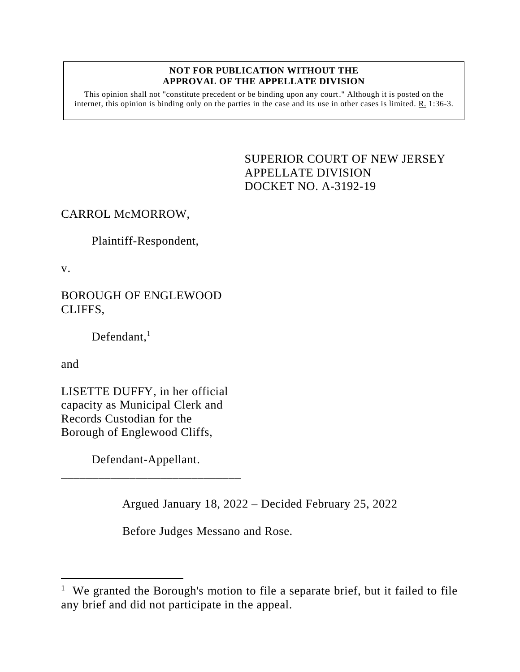## **NOT FOR PUBLICATION WITHOUT THE APPROVAL OF THE APPELLATE DIVISION**

This opinion shall not "constitute precedent or be binding upon any court." Although it is posted on the internet, this opinion is binding only on the parties in the case and its use in other cases is limited. R. 1:36-3.

> <span id="page-0-0"></span>SUPERIOR COURT OF NEW JERSEY APPELLATE DIVISION DOCKET NO. A-3192-19

## CARROL McMORROW,

Plaintiff-Respondent,

v.

BOROUGH OF ENGLEWOOD CLIFFS,

Defendant,<sup>1</sup>

and

LISETTE DUFFY, in her official capacity as Municipal Clerk and Records Custodian for the Borough of Englewood Cliffs,

Defendant-Appellant.

\_\_\_\_\_\_\_\_\_\_\_\_\_\_\_\_\_\_\_\_\_\_\_\_\_\_\_\_\_

Argued January 18, 2022 – Decided February 25, 2022

Before Judges Messano and Rose.

<sup>&</sup>lt;sup>1</sup> We granted the Borough's motion to file a separate brief, but it failed to file any brief and did not participate in the appeal.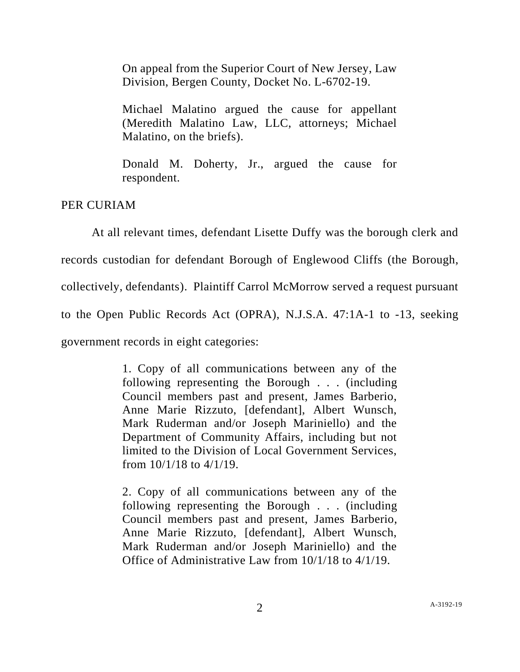On appeal from the Superior Court of New Jersey, Law Division, Bergen County, Docket No. L-6702-19.

Michael Malatino argued the cause for appellant (Meredith Malatino Law, LLC, attorneys; Michael Malatino, on the briefs).

Donald M. Doherty, Jr., argued the cause for respondent.

PER CURIAM

At all relevant times, defendant Lisette Duffy was the borough clerk and records custodian for defendant Borough of Englewood Cliffs (the Borough, collectively, defendants). Plaintiff Carrol McMorrow served a request pursuant to the Open Public Records Act (OPRA), N.J.S.A. 47:1A-1 to -13, seeking government records in eight categories:

> 1. Copy of all communications between any of the following representing the Borough . . . (including Council members past and present, James Barberio, Anne Marie Rizzuto, [defendant], Albert Wunsch, Mark Ruderman and/or Joseph Mariniello) and the Department of Community Affairs, including but not limited to the Division of Local Government Services, from 10/1/18 to 4/1/19.

> 2. Copy of all communications between any of the following representing the Borough . . . (including Council members past and present, James Barberio, Anne Marie Rizzuto, [defendant], Albert Wunsch, Mark Ruderman and/or Joseph Mariniello) and the Office of Administrative Law from 10/1/18 to 4/1/19.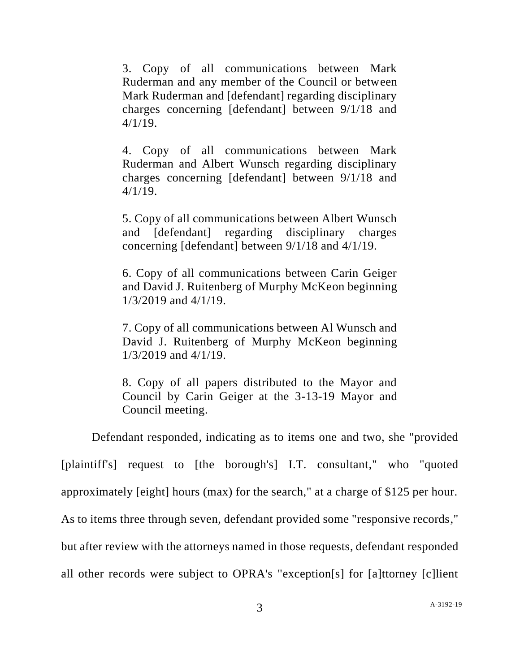3. Copy of all communications between Mark Ruderman and any member of the Council or between Mark Ruderman and [defendant] regarding disciplinary charges concerning [defendant] between 9/1/18 and 4/1/19.

4. Copy of all communications between Mark Ruderman and Albert Wunsch regarding disciplinary charges concerning [defendant] between 9/1/18 and 4/1/19.

5. Copy of all communications between Albert Wunsch and [defendant] regarding disciplinary charges concerning [defendant] between 9/1/18 and 4/1/19.

6. Copy of all communications between Carin Geiger and David J. Ruitenberg of Murphy McKeon beginning 1/3/2019 and 4/1/19.

7. Copy of all communications between Al Wunsch and David J. Ruitenberg of Murphy McKeon beginning 1/3/2019 and 4/1/19.

8. Copy of all papers distributed to the Mayor and Council by Carin Geiger at the 3-13-19 Mayor and Council meeting.

Defendant responded, indicating as to items one and two, she "provided

[plaintiff's] request to [the borough's] I.T. consultant," who "quoted

approximately [eight] hours (max) for the search," at a charge of \$125 per hour.

As to items three through seven, defendant provided some "responsive records,"

but after review with the attorneys named in those requests, defendant responded

all other records were subject to OPRA's "exception[s] for [a]ttorney [c]lient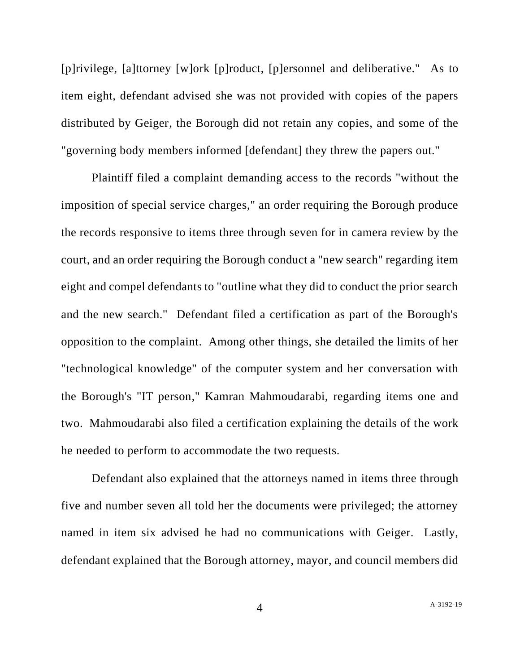[p]rivilege, [a]ttorney [w]ork [p]roduct, [p]ersonnel and deliberative." As to item eight, defendant advised she was not provided with copies of the papers distributed by Geiger, the Borough did not retain any copies, and some of the "governing body members informed [defendant] they threw the papers out."

Plaintiff filed a complaint demanding access to the records "without the imposition of special service charges," an order requiring the Borough produce the records responsive to items three through seven for in camera review by the court, and an order requiring the Borough conduct a "new search" regarding item eight and compel defendants to "outline what they did to conduct the prior search and the new search." Defendant filed a certification as part of the Borough's opposition to the complaint. Among other things, she detailed the limits of her "technological knowledge" of the computer system and her conversation with the Borough's "IT person," Kamran Mahmoudarabi, regarding items one and two. Mahmoudarabi also filed a certification explaining the details of the work he needed to perform to accommodate the two requests.

Defendant also explained that the attorneys named in items three through five and number seven all told her the documents were privileged; the attorney named in item six advised he had no communications with Geiger. Lastly, defendant explained that the Borough attorney, mayor, and council members did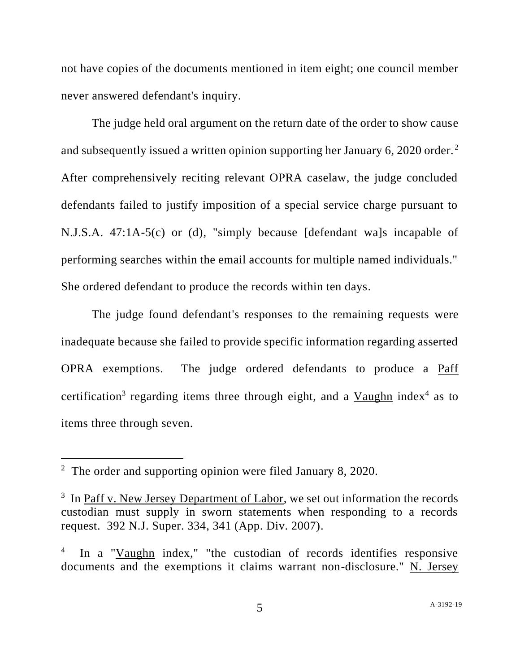not have copies of the documents mentioned in item eight; one council member never answered defendant's inquiry.

The judge held oral argument on the return date of the order to show cause and subsequently issued a written opinion supporting her January 6, 2020 order.<sup>2</sup> After comprehensively reciting relevant OPRA caselaw, the judge concluded defendants failed to justify imposition of a special service charge pursuant to N.J.S.A. 47:1A-5(c) or (d), "simply because [defendant wa]s incapable of performing searches within the email accounts for multiple named individuals." She ordered defendant to produce the records within ten days.

The judge found defendant's responses to the remaining requests were inadequate because she failed to provide specific information regarding asserted OPRA exemptions. The judge ordered defendants to produce a Paff certification<sup>3</sup> regarding items three through eight, and a  $Vaughn$  index<sup>4</sup> as to</u> items three through seven.

<sup>&</sup>lt;sup>2</sup> The order and supporting opinion were filed January 8, 2020.

 $3 \text{ In } \underline{\text{Paff } v}$ . New Jersey Department of Labor, we set out information the records custodian must supply in sworn statements when responding to a records request. 392 N.J. Super. 334, 341 (App. Div. 2007).

<sup>4</sup> In a "Vaughn index," "the custodian of records identifies responsive documents and the exemptions it claims warrant non-disclosure." N. Jersey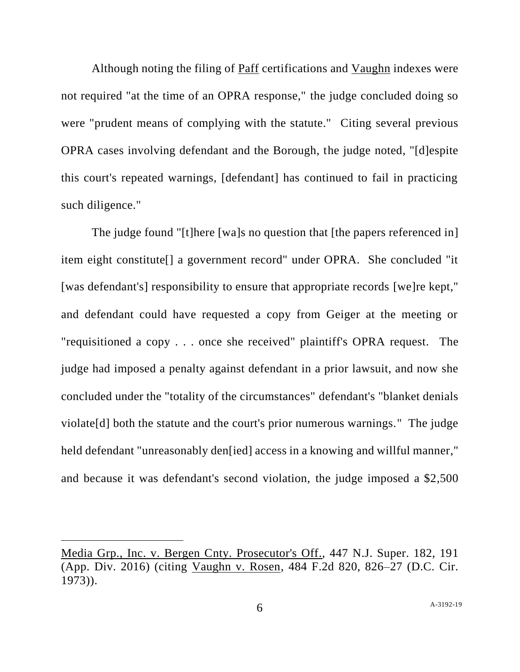Although noting the filing of Paff certifications and Vaughn indexes were not required "at the time of an OPRA response," the judge concluded doing so were "prudent means of complying with the statute." Citing several previous OPRA cases involving defendant and the Borough, the judge noted, "[d]espite this court's repeated warnings, [defendant] has continued to fail in practicing such diligence."

The judge found "[t]here [wa]s no question that [the papers referenced in] item eight constitute[] a government record" under OPRA. She concluded "it [was defendant's] responsibility to ensure that appropriate records [we]re kept," and defendant could have requested a copy from Geiger at the meeting or "requisitioned a copy . . . once she received" plaintiff's OPRA request. The judge had imposed a penalty against defendant in a prior lawsuit, and now she concluded under the "totality of the circumstances" defendant's "blanket denials violate[d] both the statute and the court's prior numerous warnings." The judge held defendant "unreasonably den[ied] access in a knowing and willful manner," and because it was defendant's second violation, the judge imposed a \$2,500

Media Grp., Inc. v. Bergen Cnty. Prosecutor's Off., 447 N.J. Super. 182, 191 (App. Div. 2016) (citing Vaughn v. Rosen, 484 F.2d 820, 826–27 (D.C. Cir. 1973)).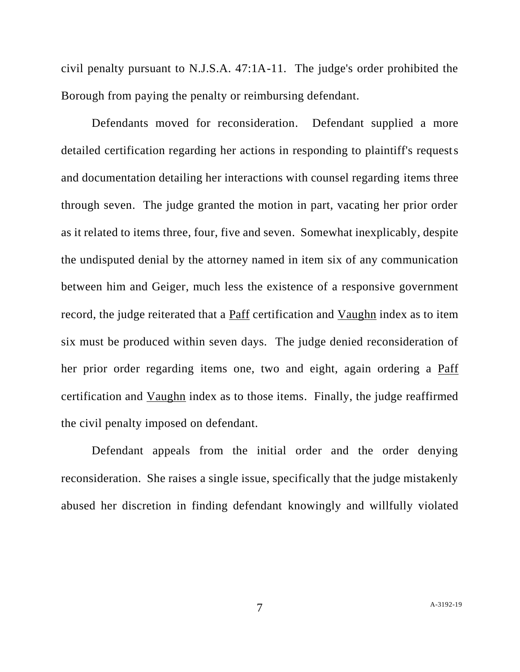civil penalty pursuant to N.J.S.A. 47:1A-11. The judge's order prohibited the Borough from paying the penalty or reimbursing defendant.

Defendants moved for reconsideration. Defendant supplied a more detailed certification regarding her actions in responding to plaintiff's requests and documentation detailing her interactions with counsel regarding items three through seven. The judge granted the motion in part, vacating her prior order as it related to items three, four, five and seven. Somewhat inexplicably, despite the undisputed denial by the attorney named in item six of any communication between him and Geiger, much less the existence of a responsive government record, the judge reiterated that a Paff certification and Vaughn index as to item six must be produced within seven days. The judge denied reconsideration of her prior order regarding items one, two and eight, again ordering a Paff certification and Vaughn index as to those items. Finally, the judge reaffirmed the civil penalty imposed on defendant.

Defendant appeals from the initial order and the order denying reconsideration. She raises a single issue, specifically that the judge mistakenly abused her discretion in finding defendant knowingly and willfully violated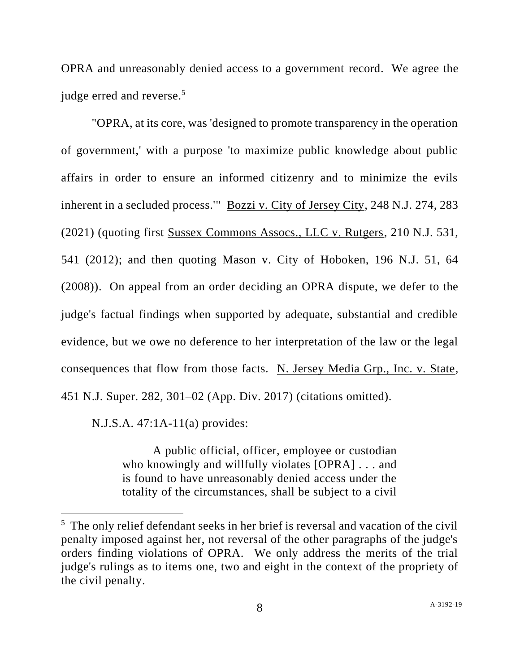OPRA and unreasonably denied access to a government record. We agree the judge erred and reverse.<sup>5</sup>

"OPRA, at its core, was 'designed to promote transparency in the operation of government,' with a purpose 'to maximize public knowledge about public affairs in order to ensure an informed citizenry and to minimize the evils inherent in a secluded process." Bozzi v. City of Jersey City, 248 N.J. 274, 283 (2021) (quoting first Sussex Commons Assocs., LLC v. Rutgers, 210 N.J. 531, 541 (2012); and then quoting Mason v. City of Hoboken, 196 N.J. 51, 64 (2008)). On appeal from an order deciding an OPRA dispute, we defer to the judge's factual findings when supported by adequate, substantial and credible evidence, but we owe no deference to her interpretation of the law or the legal consequences that flow from those facts. N. Jersey Media Grp., Inc. v. State, 451 N.J. Super. 282, 301–02 (App. Div. 2017) (citations omitted).

N.J.S.A. 47:1A-11(a) provides:

A public official, officer, employee or custodian who knowingly and willfully violates [OPRA] . . . and is found to have unreasonably denied access under the totality of the circumstances, shall be subject to a civil

<sup>&</sup>lt;sup>5</sup> The only relief defendant seeks in her brief is reversal and vacation of the civil penalty imposed against her, not reversal of the other paragraphs of the judge's orders finding violations of OPRA. We only address the merits of the trial judge's rulings as to items one, two and eight in the context of the propriety of the civil penalty.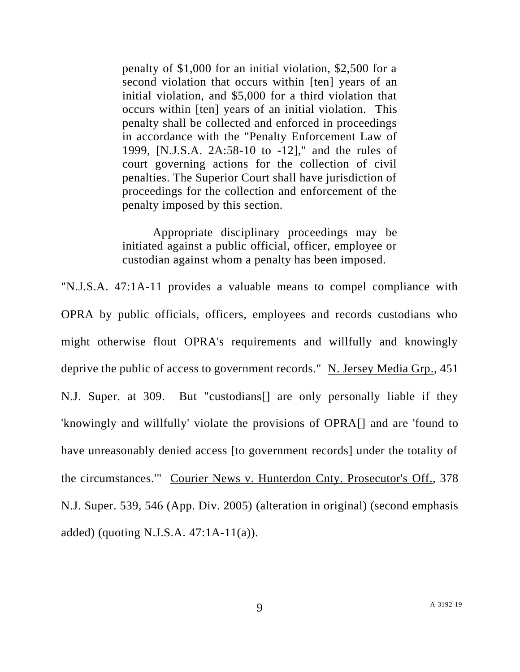penalty of \$1,000 for an initial violation, \$2,500 for a second violation that occurs within [ten] years of an initial violation, and \$5,000 for a third violation that occurs within [ten] years of an initial violation. This penalty shall be collected and enforced in proceedings in accordance with the "Penalty Enforcement Law of 1999, [N.J.S.A. 2A:58-10 to -12]," and the rules of court governing actions for the collection of civil penalties. The Superior Court shall have jurisdiction of proceedings for the collection and enforcement of the penalty imposed by this section.

Appropriate disciplinary proceedings may be initiated against a public official, officer, employee or custodian against whom a penalty has been imposed.

"N.J.S.A. 47:1A-11 provides a valuable means to compel compliance with OPRA by public officials, officers, employees and records custodians who might otherwise flout OPRA's requirements and willfully and knowingly deprive the public of access to government records." N. Jersey Media Grp., 451 N.J. Super. at 309. But "custodians[] are only personally liable if they 'knowingly and willfully' violate the provisions of OPRA[] and are 'found to have unreasonably denied access [to government records] under the totality of the circumstances.'" Courier News v. Hunterdon Cnty. Prosecutor's Off., 378 N.J. Super. 539, 546 (App. Div. 2005) (alteration in original) (second emphasis added) (quoting N.J.S.A. 47:1A-11(a)).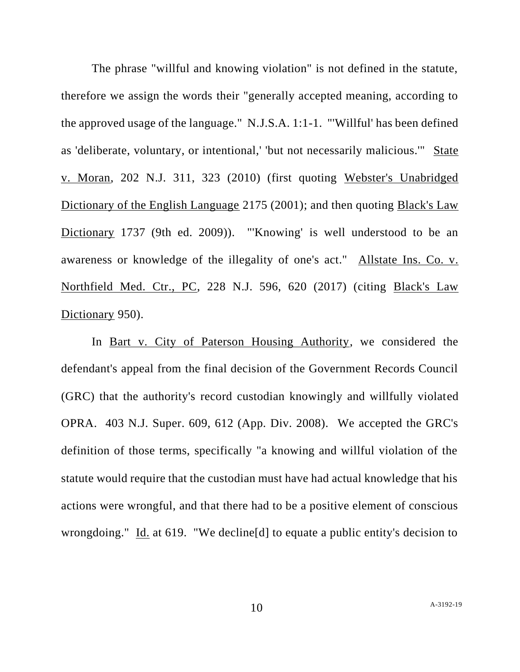The phrase "willful and knowing violation" is not defined in the statute, therefore we assign the words their "generally accepted meaning, according to the approved usage of the language." N.J.S.A. 1:1-1. "'Willful' has been defined as 'deliberate, voluntary, or intentional,' 'but not necessarily malicious.'" State v. Moran, 202 N.J. 311, 323 (2010) (first quoting Webster's Unabridged Dictionary of the English Language 2175 (2001); and then quoting Black's Law Dictionary 1737 (9th ed. 2009)). "'Knowing' is well understood to be an awareness or knowledge of the illegality of one's act." Allstate Ins. Co. v. Northfield Med. Ctr., PC, 228 N.J. 596, 620 (2017) (citing Black's Law Dictionary 950).

In Bart v. City of Paterson Housing Authority, we considered the defendant's appeal from the final decision of the Government Records Council (GRC) that the authority's record custodian knowingly and willfully violated OPRA. 403 N.J. Super. 609, 612 (App. Div. 2008). We accepted the GRC's definition of those terms, specifically "a knowing and willful violation of the statute would require that the custodian must have had actual knowledge that his actions were wrongful, and that there had to be a positive element of conscious wrongdoing." Id. at 619. "We decline[d] to equate a public entity's decision to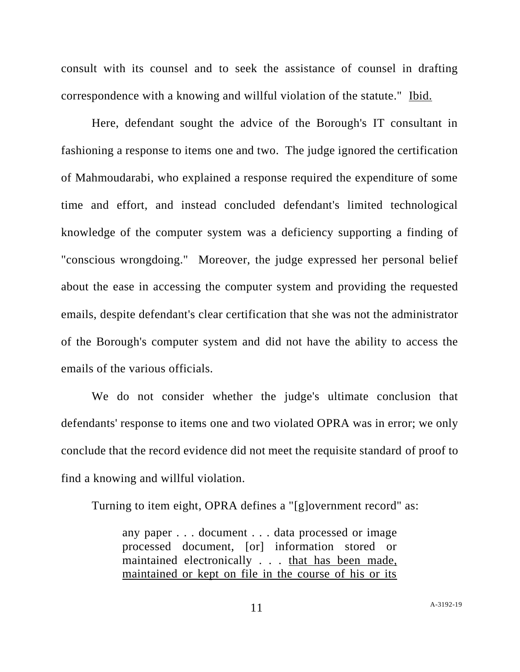consult with its counsel and to seek the assistance of counsel in drafting correspondence with a knowing and willful violation of the statute." Ibid.

Here, defendant sought the advice of the Borough's IT consultant in fashioning a response to items one and two. The judge ignored the certification of Mahmoudarabi, who explained a response required the expenditure of some time and effort, and instead concluded defendant's limited technological knowledge of the computer system was a deficiency supporting a finding of "conscious wrongdoing." Moreover, the judge expressed her personal belief about the ease in accessing the computer system and providing the requested emails, despite defendant's clear certification that she was not the administrator of the Borough's computer system and did not have the ability to access the emails of the various officials.

We do not consider whether the judge's ultimate conclusion that defendants' response to items one and two violated OPRA was in error; we only conclude that the record evidence did not meet the requisite standard of proof to find a knowing and willful violation.

Turning to item eight, OPRA defines a "[g]overnment record" as:

any paper . . . document . . . data processed or image processed document, [or] information stored or maintained electronically . . . that has been made, maintained or kept on file in the course of his or its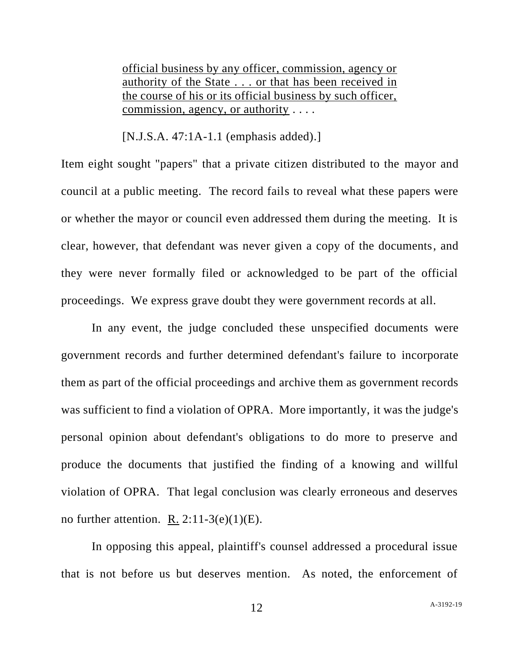official business by any officer, commission, agency or authority of the State . . . or that has been received in the course of his or its official business by such officer, commission, agency, or authority . . . .

[N.J.S.A. 47:1A-1.1 (emphasis added).]

Item eight sought "papers" that a private citizen distributed to the mayor and council at a public meeting. The record fails to reveal what these papers were or whether the mayor or council even addressed them during the meeting. It is clear, however, that defendant was never given a copy of the documents, and they were never formally filed or acknowledged to be part of the official proceedings. We express grave doubt they were government records at all.

In any event, the judge concluded these unspecified documents were government records and further determined defendant's failure to incorporate them as part of the official proceedings and archive them as government records was sufficient to find a violation of OPRA. More importantly, it was the judge's personal opinion about defendant's obligations to do more to preserve and produce the documents that justified the finding of a knowing and willful violation of OPRA. That legal conclusion was clearly erroneous and deserves no further attention. R.  $2:11-3(e)(1)(E)$ .

In opposing this appeal, plaintiff's counsel addressed a procedural issue that is not before us but deserves mention. As noted, the enforcement of